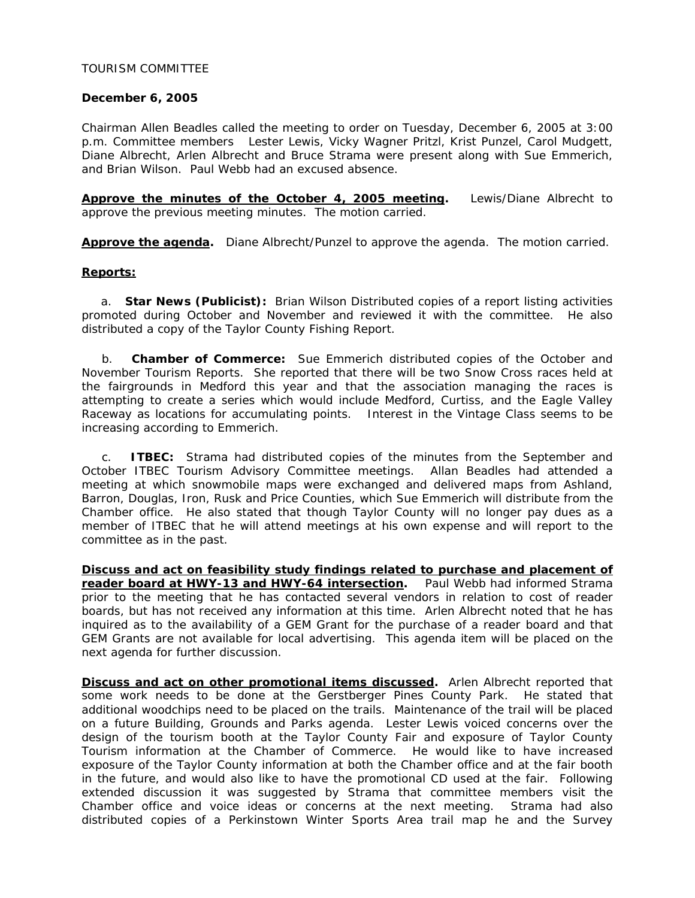## TOURISM COMMITTEE

### **December 6, 2005**

Chairman Allen Beadles called the meeting to order on Tuesday, December 6, 2005 at 3:00 p.m. Committee members Lester Lewis, Vicky Wagner Pritzl, Krist Punzel, Carol Mudgett, Diane Albrecht, Arlen Albrecht and Bruce Strama were present along with Sue Emmerich, and Brian Wilson. Paul Webb had an excused absence.

**Approve the minutes of the October 4, 2005 meeting.** Lewis/Diane Albrecht to approve the previous meeting minutes. The motion carried.

**Approve the agenda.** Diane Albrecht/Punzel to approve the agenda. The motion carried.

### **Reports:**

a. **Star News (Publicist):** Brian Wilson Distributed copies of a report listing activities promoted during October and November and reviewed it with the committee. He also distributed a copy of the Taylor County Fishing Report.

 b. **Chamber of Commerce:** Sue Emmerich distributed copies of the October and November Tourism Reports. She reported that there will be two Snow Cross races held at the fairgrounds in Medford this year and that the association managing the races is attempting to create a series which would include Medford, Curtiss, and the Eagle Valley Raceway as locations for accumulating points. Interest in the Vintage Class seems to be increasing according to Emmerich.

 c. **ITBEC:** Strama had distributed copies of the minutes from the September and October ITBEC Tourism Advisory Committee meetings. Allan Beadles had attended a meeting at which snowmobile maps were exchanged and delivered maps from Ashland, Barron, Douglas, Iron, Rusk and Price Counties, which Sue Emmerich will distribute from the Chamber office. He also stated that though Taylor County will no longer pay dues as a member of ITBEC that he will attend meetings at his own expense and will report to the committee as in the past.

**Discuss and act on feasibility study findings related to purchase and placement of reader board at HWY-13 and HWY-64 intersection.** Paul Webb had informed Strama prior to the meeting that he has contacted several vendors in relation to cost of reader boards, but has not received any information at this time. Arlen Albrecht noted that he has inquired as to the availability of a GEM Grant for the purchase of a reader board and that GEM Grants are not available for local advertising. This agenda item will be placed on the next agenda for further discussion.

**Discuss and act on other promotional items discussed.** Arlen Albrecht reported that some work needs to be done at the Gerstberger Pines County Park. He stated that additional woodchips need to be placed on the trails. Maintenance of the trail will be placed on a future Building, Grounds and Parks agenda. Lester Lewis voiced concerns over the design of the tourism booth at the Taylor County Fair and exposure of Taylor County Tourism information at the Chamber of Commerce. He would like to have increased exposure of the Taylor County information at both the Chamber office and at the fair booth in the future, and would also like to have the promotional CD used at the fair. Following extended discussion it was suggested by Strama that committee members visit the Chamber office and voice ideas or concerns at the next meeting. Strama had also distributed copies of a Perkinstown Winter Sports Area trail map he and the Survey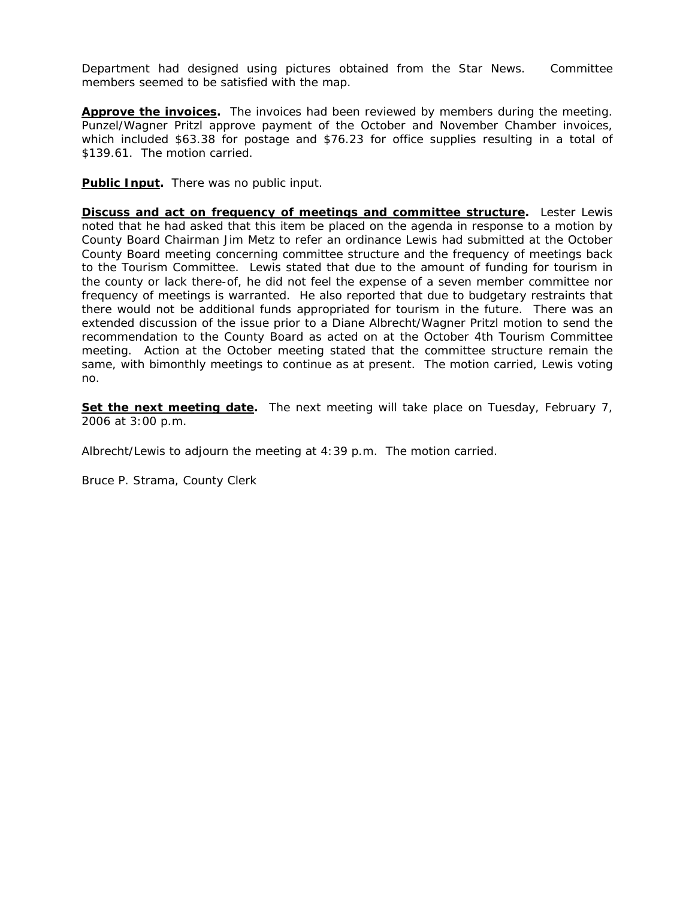Department had designed using pictures obtained from the Star News. Committee members seemed to be satisfied with the map.

**Approve the invoices.** The invoices had been reviewed by members during the meeting. Punzel/Wagner Pritzl approve payment of the October and November Chamber invoices, which included \$63.38 for postage and \$76.23 for office supplies resulting in a total of \$139.61. The motion carried.

**Public Input.** There was no public input.

**Discuss and act on frequency of meetings and committee structure.** Lester Lewis noted that he had asked that this item be placed on the agenda in response to a motion by County Board Chairman Jim Metz to refer an ordinance Lewis had submitted at the October County Board meeting concerning committee structure and the frequency of meetings back to the Tourism Committee. Lewis stated that due to the amount of funding for tourism in the county or lack there-of, he did not feel the expense of a seven member committee nor frequency of meetings is warranted. He also reported that due to budgetary restraints that there would not be additional funds appropriated for tourism in the future. There was an extended discussion of the issue prior to a Diane Albrecht/Wagner Pritzl motion to send the recommendation to the County Board as acted on at the October 4th Tourism Committee meeting. Action at the October meeting stated that the committee structure remain the same, with bimonthly meetings to continue as at present. The motion carried, Lewis voting no.

**Set the next meeting date.** The next meeting will take place on Tuesday, February 7, 2006 at 3:00 p.m.

Albrecht/Lewis to adjourn the meeting at 4:39 p.m. The motion carried.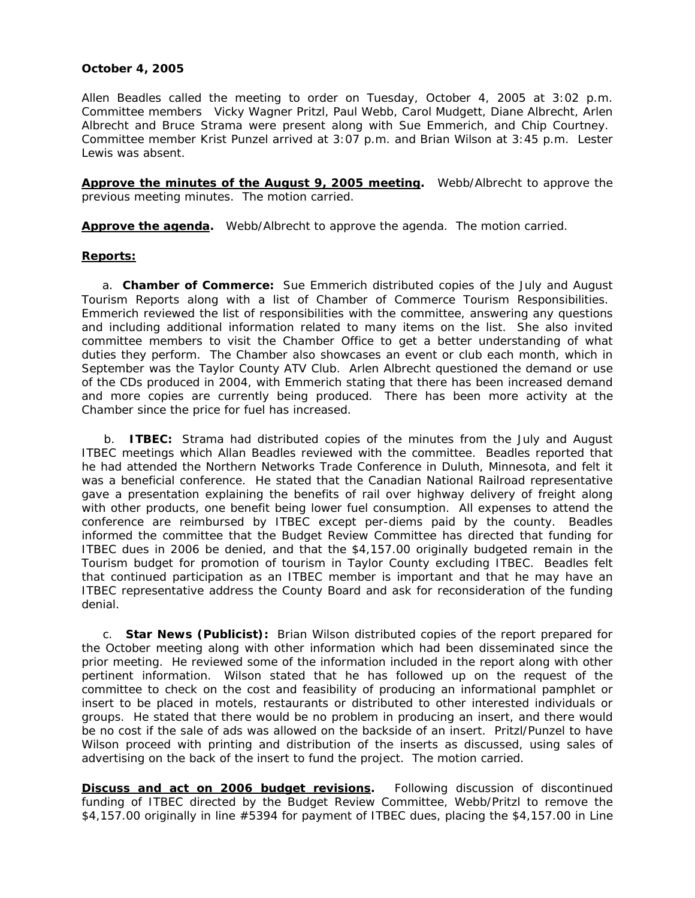## **October 4, 2005**

Allen Beadles called the meeting to order on Tuesday, October 4, 2005 at 3:02 p.m. Committee members Vicky Wagner Pritzl, Paul Webb, Carol Mudgett, Diane Albrecht, Arlen Albrecht and Bruce Strama were present along with Sue Emmerich, and Chip Courtney. Committee member Krist Punzel arrived at 3:07 p.m. and Brian Wilson at 3:45 p.m. Lester Lewis was absent.

**Approve the minutes of the August 9, 2005 meeting.** Webb/Albrecht to approve the previous meeting minutes. The motion carried.

**Approve the agenda.** Webb/Albrecht to approve the agenda. The motion carried.

## **Reports:**

a. **Chamber of Commerce:** Sue Emmerich distributed copies of the July and August Tourism Reports along with a list of Chamber of Commerce Tourism Responsibilities. Emmerich reviewed the list of responsibilities with the committee, answering any questions and including additional information related to many items on the list. She also invited committee members to visit the Chamber Office to get a better understanding of what duties they perform. The Chamber also showcases an event or club each month, which in September was the Taylor County ATV Club. Arlen Albrecht questioned the demand or use of the CDs produced in 2004, with Emmerich stating that there has been increased demand and more copies are currently being produced. There has been more activity at the Chamber since the price for fuel has increased.

 b. **ITBEC:** Strama had distributed copies of the minutes from the July and August ITBEC meetings which Allan Beadles reviewed with the committee. Beadles reported that he had attended the Northern Networks Trade Conference in Duluth, Minnesota, and felt it was a beneficial conference. He stated that the Canadian National Railroad representative gave a presentation explaining the benefits of rail over highway delivery of freight along with other products, one benefit being lower fuel consumption. All expenses to attend the conference are reimbursed by ITBEC except per-diems paid by the county. Beadles informed the committee that the Budget Review Committee has directed that funding for ITBEC dues in 2006 be denied, and that the \$4,157.00 originally budgeted remain in the Tourism budget for promotion of tourism in Taylor County excluding ITBEC. Beadles felt that continued participation as an ITBEC member is important and that he may have an ITBEC representative address the County Board and ask for reconsideration of the funding denial.

 c. **Star News (Publicist):** Brian Wilson distributed copies of the report prepared for the October meeting along with other information which had been disseminated since the prior meeting. He reviewed some of the information included in the report along with other pertinent information. Wilson stated that he has followed up on the request of the committee to check on the cost and feasibility of producing an informational pamphlet or insert to be placed in motels, restaurants or distributed to other interested individuals or groups. He stated that there would be no problem in producing an insert, and there would be no cost if the sale of ads was allowed on the backside of an insert. Pritzl/Punzel to have Wilson proceed with printing and distribution of the inserts as discussed, using sales of advertising on the back of the insert to fund the project. The motion carried.

**Discuss and act on 2006 budget revisions.** Following discussion of discontinued funding of ITBEC directed by the Budget Review Committee, Webb/Pritzl to remove the \$4,157.00 originally in line #5394 for payment of ITBEC dues, placing the \$4,157.00 in Line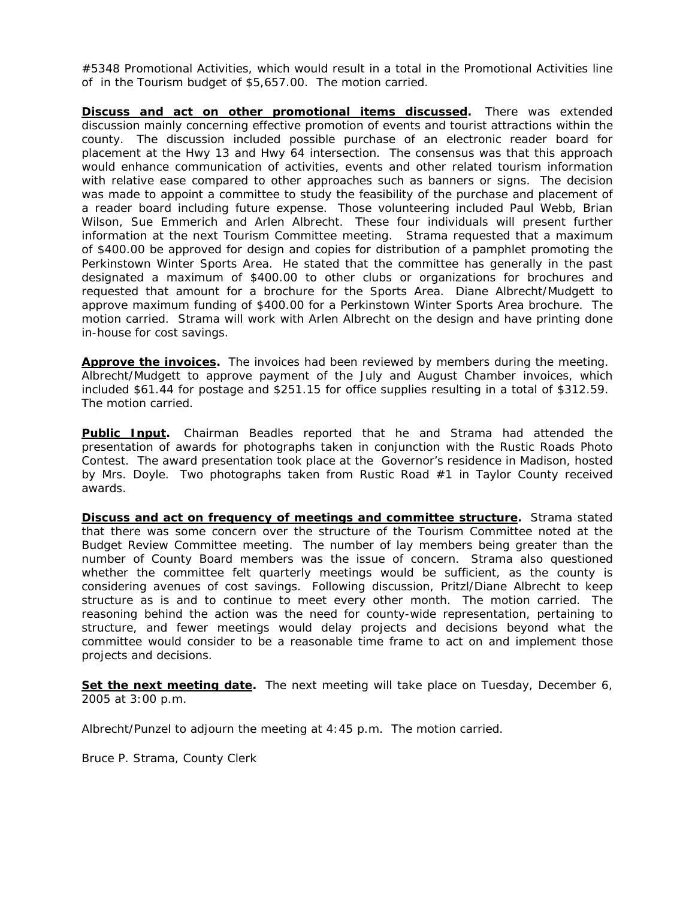#5348 Promotional Activities, which would result in a total in the Promotional Activities line of in the Tourism budget of \$5,657.00. The motion carried.

**Discuss and act on other promotional items discussed**. There was extended discussion mainly concerning effective promotion of events and tourist attractions within the county. The discussion included possible purchase of an electronic reader board for placement at the Hwy 13 and Hwy 64 intersection. The consensus was that this approach would enhance communication of activities, events and other related tourism information with relative ease compared to other approaches such as banners or signs. The decision was made to appoint a committee to study the feasibility of the purchase and placement of a reader board including future expense. Those volunteering included Paul Webb, Brian Wilson, Sue Emmerich and Arlen Albrecht. These four individuals will present further information at the next Tourism Committee meeting. Strama requested that a maximum of \$400.00 be approved for design and copies for distribution of a pamphlet promoting the Perkinstown Winter Sports Area. He stated that the committee has generally in the past designated a maximum of \$400.00 to other clubs or organizations for brochures and requested that amount for a brochure for the Sports Area. Diane Albrecht/Mudgett to approve maximum funding of \$400.00 for a Perkinstown Winter Sports Area brochure. The motion carried. Strama will work with Arlen Albrecht on the design and have printing done in-house for cost savings.

**Approve the invoices.** The invoices had been reviewed by members during the meeting. Albrecht/Mudgett to approve payment of the July and August Chamber invoices, which included \$61.44 for postage and \$251.15 for office supplies resulting in a total of \$312.59. The motion carried.

**Public Input.** Chairman Beadles reported that he and Strama had attended the presentation of awards for photographs taken in conjunction with the Rustic Roads Photo Contest. The award presentation took place at the Governor's residence in Madison, hosted by Mrs. Doyle. Two photographs taken from Rustic Road #1 in Taylor County received awards.

**Discuss and act on frequency of meetings and committee structure.** Strama stated that there was some concern over the structure of the Tourism Committee noted at the Budget Review Committee meeting. The number of lay members being greater than the number of County Board members was the issue of concern. Strama also questioned whether the committee felt quarterly meetings would be sufficient, as the county is considering avenues of cost savings. Following discussion, Pritzl/Diane Albrecht to keep structure as is and to continue to meet every other month. The motion carried. The reasoning behind the action was the need for county-wide representation, pertaining to structure, and fewer meetings would delay projects and decisions beyond what the committee would consider to be a reasonable time frame to act on and implement those projects and decisions.

**Set the next meeting date.** The next meeting will take place on Tuesday, December 6, 2005 at 3:00 p.m.

Albrecht/Punzel to adjourn the meeting at 4:45 p.m. The motion carried.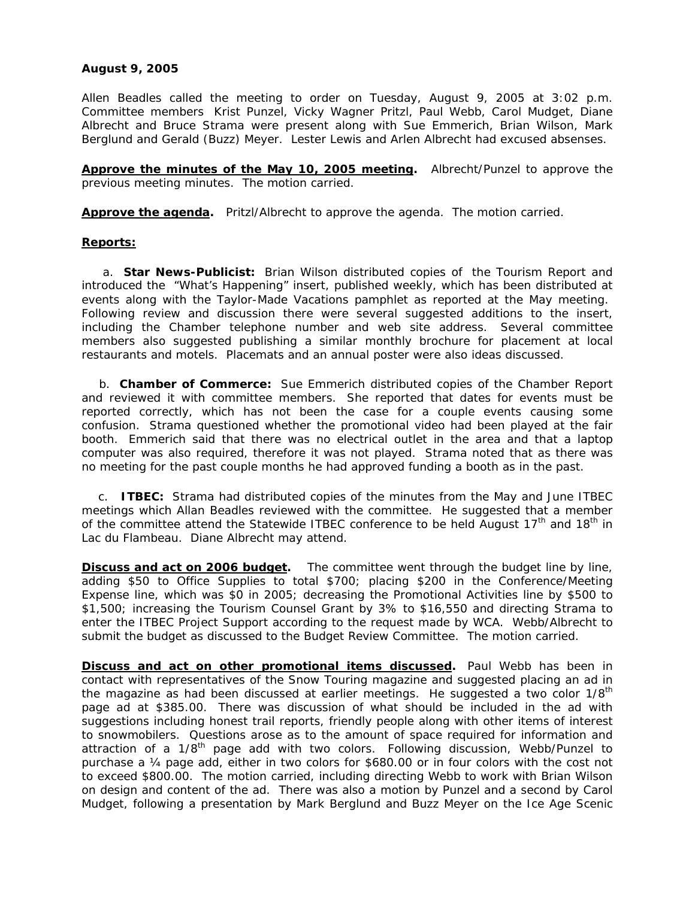# **August 9, 2005**

Allen Beadles called the meeting to order on Tuesday, August 9, 2005 at 3:02 p.m. Committee members Krist Punzel, Vicky Wagner Pritzl, Paul Webb, Carol Mudget, Diane Albrecht and Bruce Strama were present along with Sue Emmerich, Brian Wilson, Mark Berglund and Gerald (Buzz) Meyer. Lester Lewis and Arlen Albrecht had excused absenses.

**Approve the minutes of the May 10, 2005 meeting.** Albrecht/Punzel to approve the previous meeting minutes. The motion carried.

**Approve the agenda.** Pritzl/Albrecht to approve the agenda. The motion carried.

## **Reports:**

a. **Star News-Publicist:** Brian Wilson distributed copies of the Tourism Report and introduced the "What's Happening" insert, published weekly, which has been distributed at events along with the Taylor-Made Vacations pamphlet as reported at the May meeting. Following review and discussion there were several suggested additions to the insert, including the Chamber telephone number and web site address. Several committee members also suggested publishing a similar monthly brochure for placement at local restaurants and motels. Placemats and an annual poster were also ideas discussed.

 b. **Chamber of Commerce:** Sue Emmerich distributed copies of the Chamber Report and reviewed it with committee members. She reported that dates for events must be reported correctly, which has not been the case for a couple events causing some confusion. Strama questioned whether the promotional video had been played at the fair booth. Emmerich said that there was no electrical outlet in the area and that a laptop computer was also required, therefore it was not played. Strama noted that as there was no meeting for the past couple months he had approved funding a booth as in the past.

 c. **ITBEC:** Strama had distributed copies of the minutes from the May and June ITBEC meetings which Allan Beadles reviewed with the committee. He suggested that a member of the committee attend the Statewide ITBEC conference to be held August  $17<sup>th</sup>$  and  $18<sup>th</sup>$  in Lac du Flambeau. Diane Albrecht may attend.

**Discuss and act on 2006 budget.** The committee went through the budget line by line, adding \$50 to Office Supplies to total \$700; placing \$200 in the Conference/Meeting Expense line, which was \$0 in 2005; decreasing the Promotional Activities line by \$500 to \$1,500; increasing the Tourism Counsel Grant by 3% to \$16,550 and directing Strama to enter the ITBEC Project Support according to the request made by WCA. Webb/Albrecht to submit the budget as discussed to the Budget Review Committee. The motion carried.

**Discuss and act on other promotional items discussed.** Paul Webb has been in contact with representatives of the Snow Touring magazine and suggested placing an ad in the magazine as had been discussed at earlier meetings. He suggested a two color 1/8<sup>th</sup> page ad at \$385.00. There was discussion of what should be included in the ad with suggestions including honest trail reports, friendly people along with other items of interest to snowmobilers. Questions arose as to the amount of space required for information and attraction of a 1/8<sup>th</sup> page add with two colors. Following discussion, Webb/Punzel to purchase a ¼ page add, either in two colors for \$680.00 or in four colors with the cost not to exceed \$800.00. The motion carried, including directing Webb to work with Brian Wilson on design and content of the ad. There was also a motion by Punzel and a second by Carol Mudget, following a presentation by Mark Berglund and Buzz Meyer on the Ice Age Scenic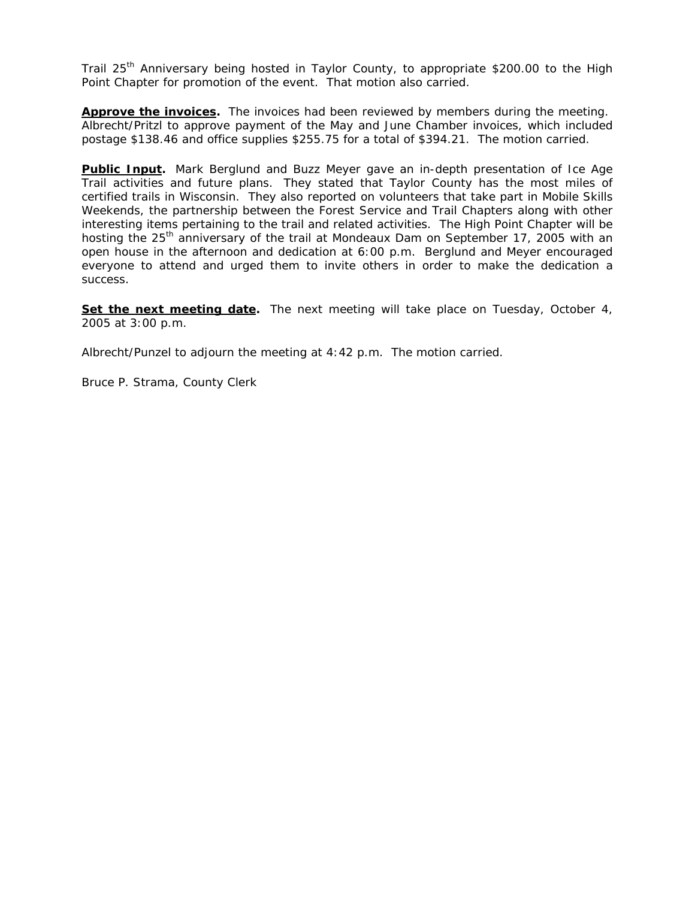Trail 25<sup>th</sup> Anniversary being hosted in Taylor County, to appropriate \$200.00 to the High Point Chapter for promotion of the event. That motion also carried.

**Approve the invoices.** The invoices had been reviewed by members during the meeting. Albrecht/Pritzl to approve payment of the May and June Chamber invoices, which included postage \$138.46 and office supplies \$255.75 for a total of \$394.21. The motion carried.

**Public Input.** Mark Berglund and Buzz Meyer gave an in-depth presentation of Ice Age Trail activities and future plans. They stated that Taylor County has the most miles of certified trails in Wisconsin. They also reported on volunteers that take part in Mobile Skills Weekends, the partnership between the Forest Service and Trail Chapters along with other interesting items pertaining to the trail and related activities. The High Point Chapter will be hosting the 25<sup>th</sup> anniversary of the trail at Mondeaux Dam on September 17, 2005 with an open house in the afternoon and dedication at 6:00 p.m. Berglund and Meyer encouraged everyone to attend and urged them to invite others in order to make the dedication a success.

**Set the next meeting date.** The next meeting will take place on Tuesday, October 4, 2005 at 3:00 p.m.

Albrecht/Punzel to adjourn the meeting at 4:42 p.m. The motion carried.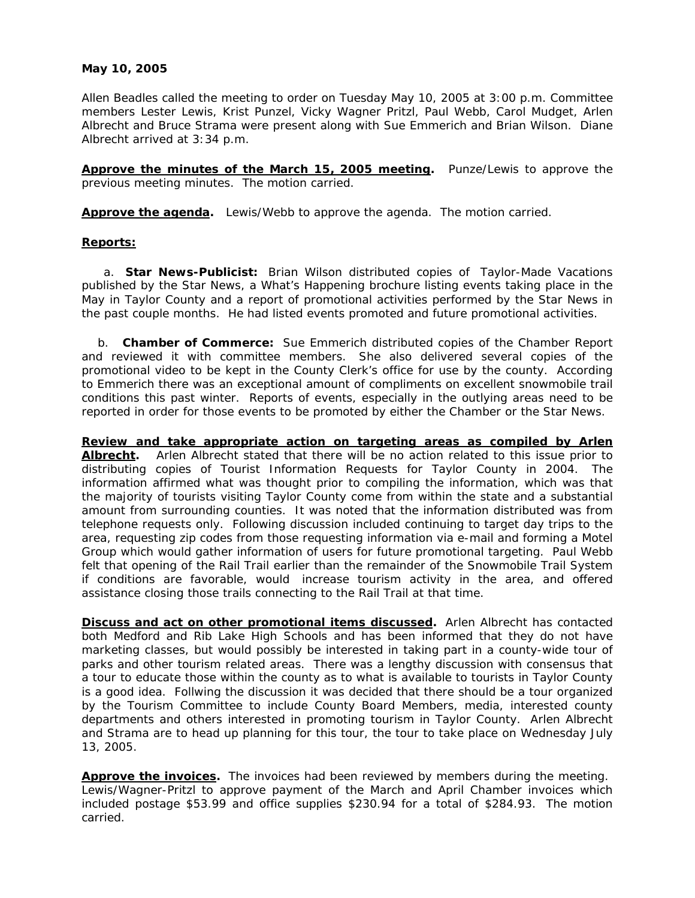## **May 10, 2005**

Allen Beadles called the meeting to order on Tuesday May 10, 2005 at 3:00 p.m. Committee members Lester Lewis, Krist Punzel, Vicky Wagner Pritzl, Paul Webb, Carol Mudget, Arlen Albrecht and Bruce Strama were present along with Sue Emmerich and Brian Wilson. Diane Albrecht arrived at 3:34 p.m.

**Approve the minutes of the March 15, 2005 meeting.** Punze/Lewis to approve the previous meeting minutes. The motion carried.

**Approve the agenda.** Lewis/Webb to approve the agenda. The motion carried.

### **Reports:**

a. **Star News-Publicist:** Brian Wilson distributed copies of Taylor-Made Vacations published by the Star News, a What's Happening brochure listing events taking place in the May in Taylor County and a report of promotional activities performed by the Star News in the past couple months. He had listed events promoted and future promotional activities.

 b. **Chamber of Commerce:** Sue Emmerich distributed copies of the Chamber Report and reviewed it with committee members. She also delivered several copies of the promotional video to be kept in the County Clerk's office for use by the county. According to Emmerich there was an exceptional amount of compliments on excellent snowmobile trail conditions this past winter. Reports of events, especially in the outlying areas need to be reported in order for those events to be promoted by either the Chamber or the Star News.

**Review and take appropriate action on targeting areas as compiled by Arlen Albrecht.** Arlen Albrecht stated that there will be no action related to this issue prior to distributing copies of Tourist Information Requests for Taylor County in 2004. The information affirmed what was thought prior to compiling the information, which was that the majority of tourists visiting Taylor County come from within the state and a substantial amount from surrounding counties. It was noted that the information distributed was from telephone requests only. Following discussion included continuing to target day trips to the area, requesting zip codes from those requesting information via e-mail and forming a Motel Group which would gather information of users for future promotional targeting. Paul Webb felt that opening of the Rail Trail earlier than the remainder of the Snowmobile Trail System if conditions are favorable, would increase tourism activity in the area, and offered assistance closing those trails connecting to the Rail Trail at that time.

**Discuss and act on other promotional items discussed.** Arlen Albrecht has contacted both Medford and Rib Lake High Schools and has been informed that they do not have marketing classes, but would possibly be interested in taking part in a county-wide tour of parks and other tourism related areas. There was a lengthy discussion with consensus that a tour to educate those within the county as to what is available to tourists in Taylor County is a good idea. Follwing the discussion it was decided that there should be a tour organized by the Tourism Committee to include County Board Members, media, interested county departments and others interested in promoting tourism in Taylor County. Arlen Albrecht and Strama are to head up planning for this tour, the tour to take place on Wednesday July 13, 2005.

**Approve the invoices.** The invoices had been reviewed by members during the meeting. Lewis/Wagner-Pritzl to approve payment of the March and April Chamber invoices which included postage \$53.99 and office supplies \$230.94 for a total of \$284.93. The motion carried.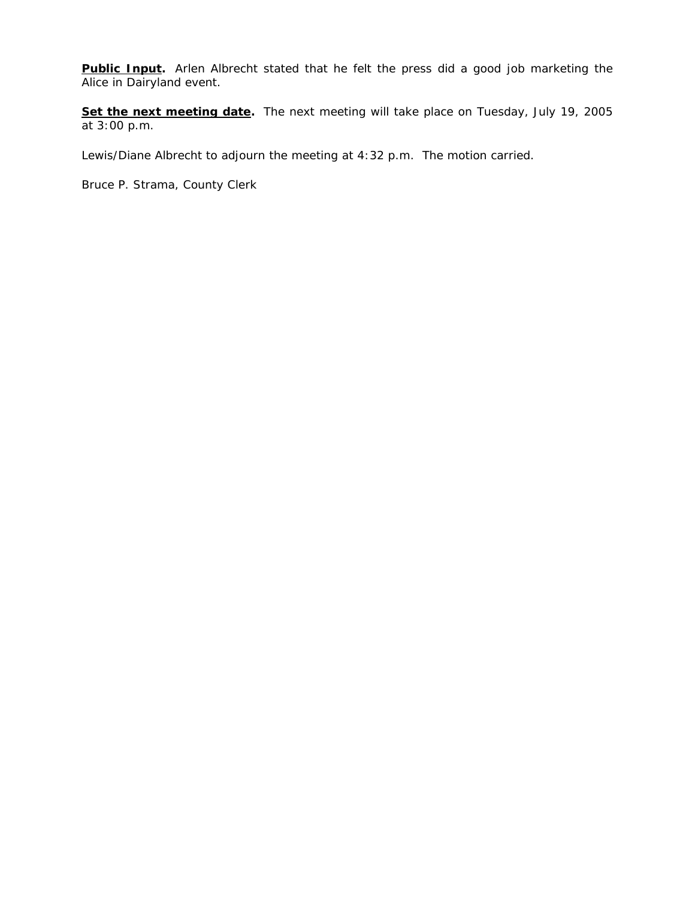Public Input. Arlen Albrecht stated that he felt the press did a good job marketing the Alice in Dairyland event.

**Set the next meeting date.** The next meeting will take place on Tuesday, July 19, 2005 at 3:00 p.m.

Lewis/Diane Albrecht to adjourn the meeting at 4:32 p.m. The motion carried.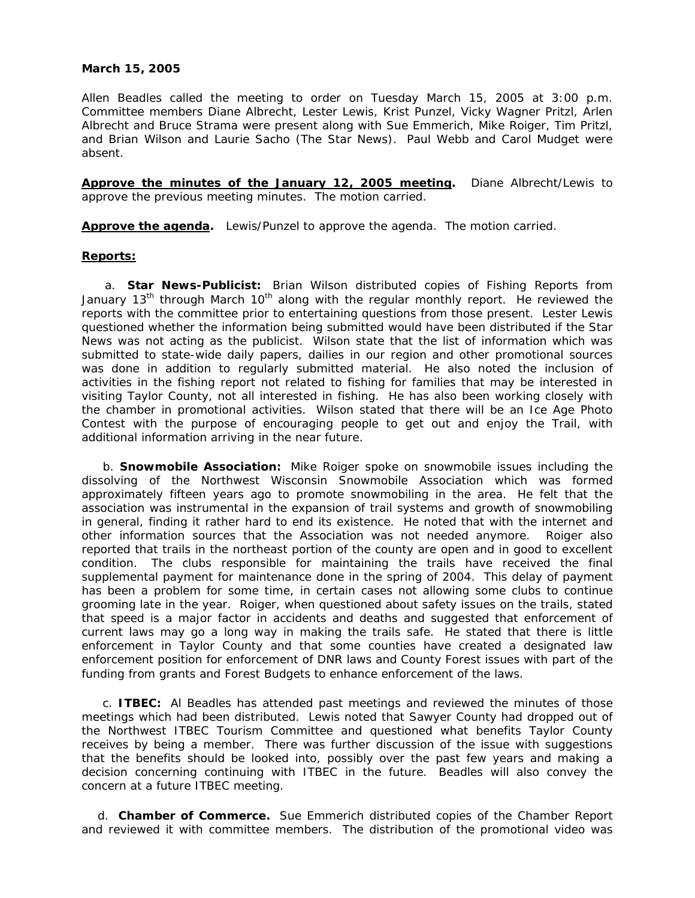### **March 15, 2005**

Allen Beadles called the meeting to order on Tuesday March 15, 2005 at 3:00 p.m. Committee members Diane Albrecht, Lester Lewis, Krist Punzel, Vicky Wagner Pritzl, Arlen Albrecht and Bruce Strama were present along with Sue Emmerich, Mike Roiger, Tim Pritzl, and Brian Wilson and Laurie Sacho (The Star News). Paul Webb and Carol Mudget were absent.

**Approve the minutes of the January 12, 2005 meeting.** Diane Albrecht/Lewis to approve the previous meeting minutes. The motion carried.

**Approve the agenda.** Lewis/Punzel to approve the agenda. The motion carried.

## **Reports:**

a. **Star News-Publicist:** Brian Wilson distributed copies of Fishing Reports from January 13<sup>th</sup> through March 10<sup>th</sup> along with the regular monthly report. He reviewed the reports with the committee prior to entertaining questions from those present. Lester Lewis questioned whether the information being submitted would have been distributed if the Star News was not acting as the publicist. Wilson state that the list of information which was submitted to state-wide daily papers, dailies in our region and other promotional sources was done in addition to regularly submitted material. He also noted the inclusion of activities in the fishing report not related to fishing for families that may be interested in visiting Taylor County, not all interested in fishing. He has also been working closely with the chamber in promotional activities. Wilson stated that there will be an Ice Age Photo Contest with the purpose of encouraging people to get out and enjoy the Trail, with additional information arriving in the near future.

b. **Snowmobile Association:** Mike Roiger spoke on snowmobile issues including the dissolving of the Northwest Wisconsin Snowmobile Association which was formed approximately fifteen years ago to promote snowmobiling in the area. He felt that the association was instrumental in the expansion of trail systems and growth of snowmobiling in general, finding it rather hard to end its existence. He noted that with the internet and other information sources that the Association was not needed anymore. Roiger also reported that trails in the northeast portion of the county are open and in good to excellent condition. The clubs responsible for maintaining the trails have received the final supplemental payment for maintenance done in the spring of 2004. This delay of payment has been a problem for some time, in certain cases not allowing some clubs to continue grooming late in the year. Roiger, when questioned about safety issues on the trails, stated that speed is a major factor in accidents and deaths and suggested that enforcement of current laws may go a long way in making the trails safe. He stated that there is little enforcement in Taylor County and that some counties have created a designated law enforcement position for enforcement of DNR laws and County Forest issues with part of the funding from grants and Forest Budgets to enhance enforcement of the laws.

c. **ITBEC:** Al Beadles has attended past meetings and reviewed the minutes of those meetings which had been distributed. Lewis noted that Sawyer County had dropped out of the Northwest ITBEC Tourism Committee and questioned what benefits Taylor County receives by being a member. There was further discussion of the issue with suggestions that the benefits should be looked into, possibly over the past few years and making a decision concerning continuing with ITBEC in the future. Beadles will also convey the concern at a future ITBEC meeting.

 d. **Chamber of Commerce.** Sue Emmerich distributed copies of the Chamber Report and reviewed it with committee members. The distribution of the promotional video was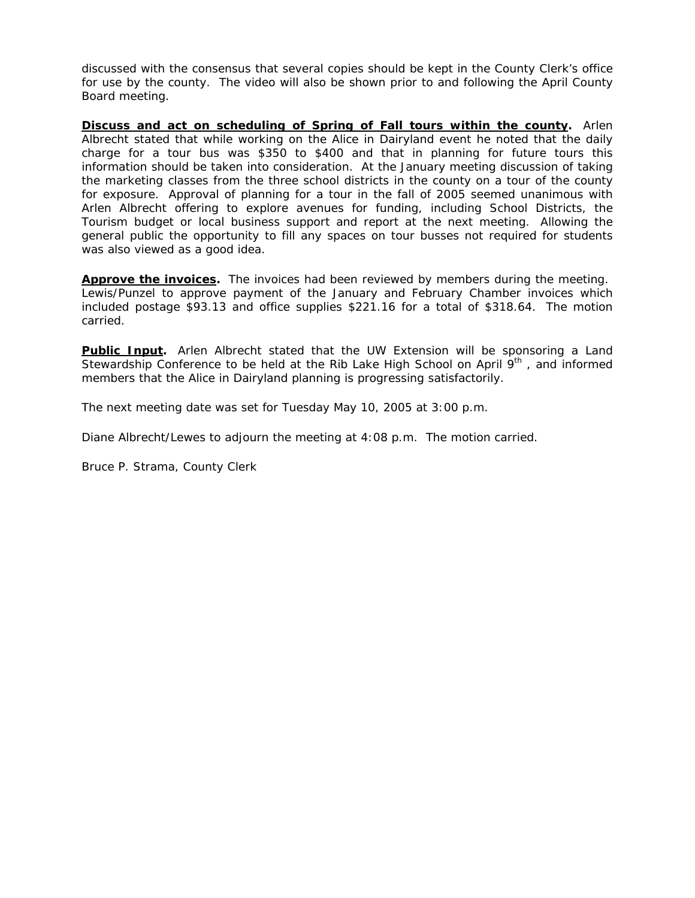discussed with the consensus that several copies should be kept in the County Clerk's office for use by the county. The video will also be shown prior to and following the April County Board meeting.

**Discuss and act on scheduling of Spring of Fall tours within the county.** Arlen Albrecht stated that while working on the Alice in Dairyland event he noted that the daily charge for a tour bus was \$350 to \$400 and that in planning for future tours this information should be taken into consideration. At the January meeting discussion of taking the marketing classes from the three school districts in the county on a tour of the county for exposure. Approval of planning for a tour in the fall of 2005 seemed unanimous with Arlen Albrecht offering to explore avenues for funding, including School Districts, the Tourism budget or local business support and report at the next meeting. Allowing the general public the opportunity to fill any spaces on tour busses not required for students was also viewed as a good idea.

**Approve the invoices.** The invoices had been reviewed by members during the meeting. Lewis/Punzel to approve payment of the January and February Chamber invoices which included postage \$93.13 and office supplies \$221.16 for a total of \$318.64. The motion carried.

**Public Input.** Arlen Albrecht stated that the UW Extension will be sponsoring a Land Stewardship Conference to be held at the Rib Lake High School on April  $9<sup>th</sup>$ , and informed members that the Alice in Dairyland planning is progressing satisfactorily.

The next meeting date was set for Tuesday May 10, 2005 at 3:00 p.m.

Diane Albrecht/Lewes to adjourn the meeting at 4:08 p.m. The motion carried.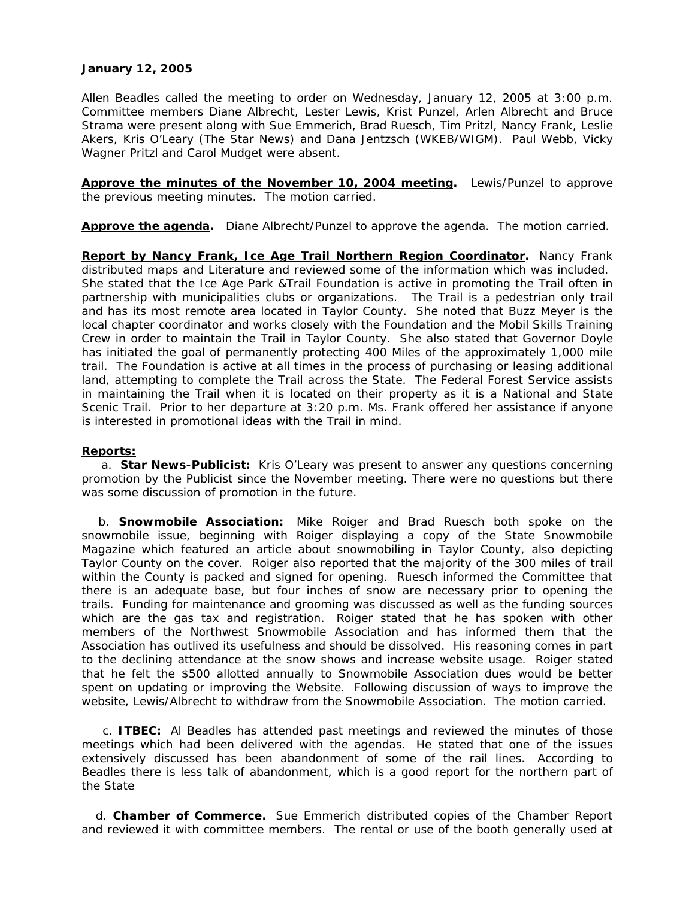## **January 12, 2005**

Allen Beadles called the meeting to order on Wednesday, January 12, 2005 at 3:00 p.m. Committee members Diane Albrecht, Lester Lewis, Krist Punzel, Arlen Albrecht and Bruce Strama were present along with Sue Emmerich, Brad Ruesch, Tim Pritzl, Nancy Frank, Leslie Akers, Kris O'Leary (The Star News) and Dana Jentzsch (WKEB/WIGM). Paul Webb, Vicky Wagner Pritzl and Carol Mudget were absent.

**Approve the minutes of the November 10, 2004 meeting.** Lewis/Punzel to approve the previous meeting minutes. The motion carried.

**Approve the agenda.** Diane Albrecht/Punzel to approve the agenda. The motion carried.

**Report by Nancy Frank, Ice Age Trail Northern Region Coordinator.** Nancy Frank distributed maps and Literature and reviewed some of the information which was included. She stated that the Ice Age Park &Trail Foundation is active in promoting the Trail often in partnership with municipalities clubs or organizations. The Trail is a pedestrian only trail and has its most remote area located in Taylor County. She noted that Buzz Meyer is the local chapter coordinator and works closely with the Foundation and the Mobil Skills Training Crew in order to maintain the Trail in Taylor County. She also stated that Governor Doyle has initiated the goal of permanently protecting 400 Miles of the approximately 1,000 mile trail. The Foundation is active at all times in the process of purchasing or leasing additional land, attempting to complete the Trail across the State. The Federal Forest Service assists in maintaining the Trail when it is located on their property as it is a National and State Scenic Trail. Prior to her departure at 3:20 p.m. Ms. Frank offered her assistance if anyone is interested in promotional ideas with the Trail in mind.

### **Reports:**

a. **Star News-Publicist:** Kris O'Leary was present to answer any questions concerning promotion by the Publicist since the November meeting. There were no questions but there was some discussion of promotion in the future.

b. **Snowmobile Association:** Mike Roiger and Brad Ruesch both spoke on the snowmobile issue, beginning with Roiger displaying a copy of the State Snowmobile Magazine which featured an article about snowmobiling in Taylor County, also depicting Taylor County on the cover. Roiger also reported that the majority of the 300 miles of trail within the County is packed and signed for opening. Ruesch informed the Committee that there is an adequate base, but four inches of snow are necessary prior to opening the trails. Funding for maintenance and grooming was discussed as well as the funding sources which are the gas tax and registration. Roiger stated that he has spoken with other members of the Northwest Snowmobile Association and has informed them that the Association has outlived its usefulness and should be dissolved. His reasoning comes in part to the declining attendance at the snow shows and increase website usage. Roiger stated that he felt the \$500 allotted annually to Snowmobile Association dues would be better spent on updating or improving the Website. Following discussion of ways to improve the website, Lewis/Albrecht to withdraw from the Snowmobile Association. The motion carried.

c. **ITBEC:** Al Beadles has attended past meetings and reviewed the minutes of those meetings which had been delivered with the agendas. He stated that one of the issues extensively discussed has been abandonment of some of the rail lines. According to Beadles there is less talk of abandonment, which is a good report for the northern part of the State

 d. **Chamber of Commerce.** Sue Emmerich distributed copies of the Chamber Report and reviewed it with committee members. The rental or use of the booth generally used at